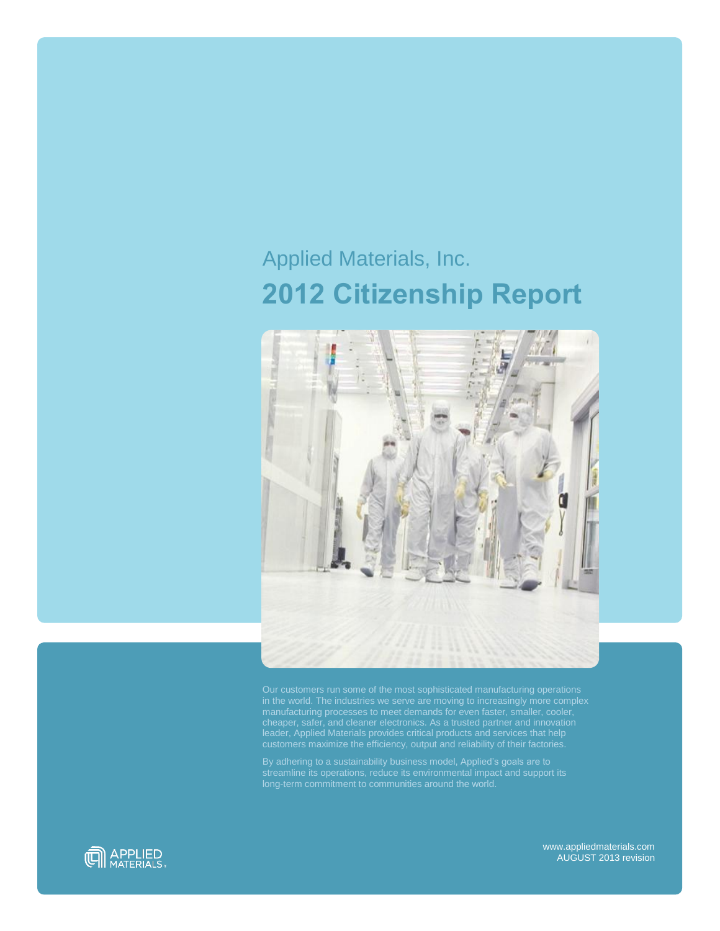# Applied Materials, Inc. **2012 Citizenship Report**



Our customers run some of the most sophisticated manufacturing operations in the world. The industries we serve are moving to increasingly more complex manufacturing processes to meet demands for even faster, smaller, cooler, leader, Applied Materials provides critical products and services that help

By adhering to a sustainability business model, Applied's goals are to streamline its operations, reduce its environmental impact and support its



www.appliedmaterials.com AUGUST 2013 revision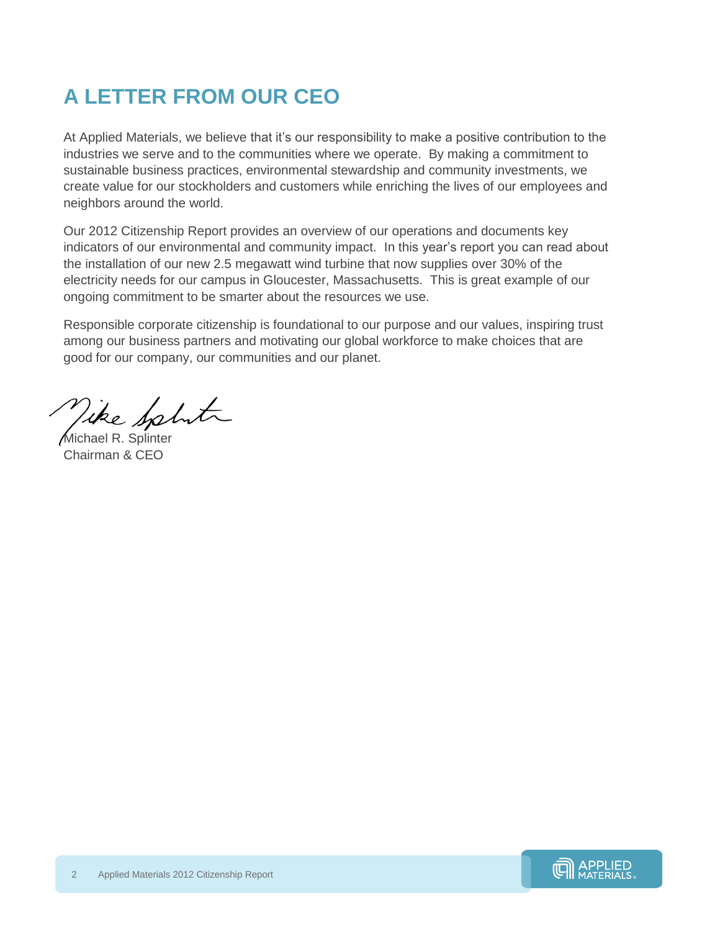## **A LETTER FROM OUR CEO**

At Applied Materials, we believe that it's our responsibility to make a positive contribution to the industries we serve and to the communities where we operate. By making a commitment to sustainable business practices, environmental stewardship and community investments, we create value for our stockholders and customers while enriching the lives of our employees and neighbors around the world.

Our 2012 Citizenship Report provides an overview of our operations and documents key indicators of our environmental and community impact. In this year's report you can read about the installation of our new 2.5 megawatt wind turbine that now supplies over 30% of the electricity needs for our campus in Gloucester, Massachusetts. This is great example of our ongoing commitment to be smarter about the resources we use.

Responsible corporate citizenship is foundational to our purpose and our values, inspiring trust among our business partners and motivating our global workforce to make choices that are good for our company, our communities and our planet.

Vike Sphit

Michael R. Splinter Chairman & CEO

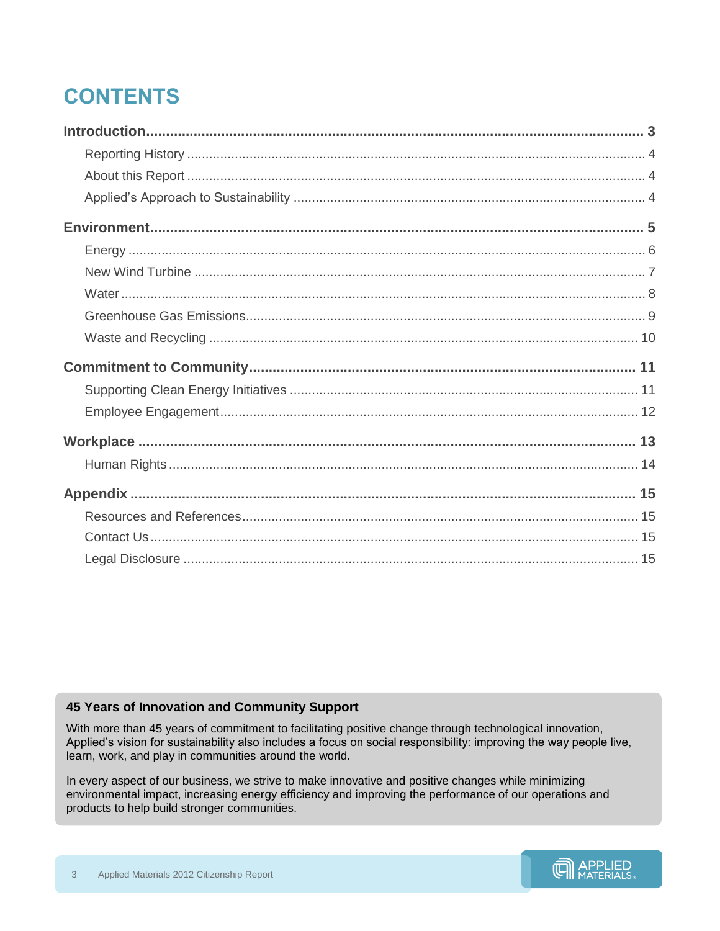## **CONTENTS**

## <span id="page-2-0"></span>45 Years of Innovation and Community Support

With more than 45 years of commitment to facilitating positive change through technological innovation, Applied's vision for sustainability also includes a focus on social responsibility: improving the way people live, learn, work, and play in communities around the world.

In every aspect of our business, we strive to make innovative and positive changes while minimizing environmental impact, increasing energy efficiency and improving the performance of our operations and products to help build stronger communities.

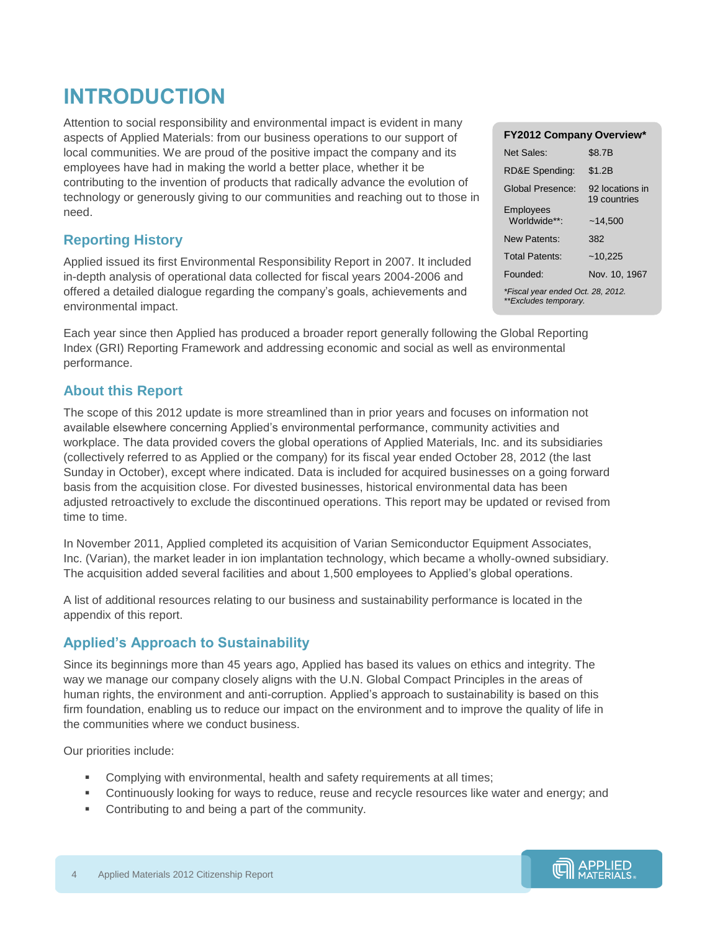## **INTRODUCTION**

Attention to social responsibility and environmental impact is evident in many aspects of Applied Materials: from our business operations to our support of local communities. We are proud of the positive impact the company and its employees have had in making the world a better place, whether it be contributing to the invention of products that radically advance the evolution of technology or generously giving to our communities and reaching out to those in need.

## <span id="page-3-0"></span>**Reporting History**

Applied issued its first Environmental Responsibility Report in 2007. It included in-depth analysis of operational data collected for fiscal years 2004-2006 and offered a detailed dialogue regarding the company's goals, achievements and environmental impact.

Each year since then Applied has produced a broader report generally following the Global Reporting Index (GRI) Reporting Framework and addressing economic and social as well as environmental performance.

## <span id="page-3-1"></span>**About this Report**

The scope of this 2012 update is more streamlined than in prior years and focuses on information not available elsewhere concerning Applied's environmental performance, community activities and workplace. The data provided covers the global operations of Applied Materials, Inc. and its subsidiaries (collectively referred to as Applied or the company) for its fiscal year ended October 28, 2012 (the last Sunday in October), except where indicated. Data is included for acquired businesses on a going forward basis from the acquisition close. For divested businesses, historical environmental data has been adjusted retroactively to exclude the discontinued operations. This report may be updated or revised from time to time.

In November 2011, Applied completed its acquisition of Varian Semiconductor Equipment Associates, Inc. (Varian), the market leader in ion implantation technology, which became a wholly-owned subsidiary. The acquisition added several facilities and about 1,500 employees to Applied's global operations.

A list of additional resources relating to our business and sustainability performance is located in the appendix of this report.

### <span id="page-3-2"></span>**Applied's Approach to Sustainability**

Since its beginnings more than 45 years ago, Applied has based its values on ethics and integrity. The way we manage our company closely aligns with the U.N. Global Compact Principles in the areas of human rights, the environment and anti-corruption. Applied's approach to sustainability is based on this firm foundation, enabling us to reduce our impact on the environment and to improve the quality of life in the communities where we conduct business.

Our priorities include:

- Complying with environmental, health and safety requirements at all times;
- Continuously looking for ways to reduce, reuse and recycle resources like water and energy; and
- Contributing to and being a part of the community.

| <b>FY2012 Company Overview*</b>                            |                                 |  |  |
|------------------------------------------------------------|---------------------------------|--|--|
| Net Sales:                                                 | \$8.7B                          |  |  |
| RD&E Spending:                                             | \$1.2B                          |  |  |
| Global Presence:                                           | 92 locations in<br>19 countries |  |  |
| Employees<br>Worldwide**:                                  | ~14.500                         |  |  |
| New Patents:                                               | 382                             |  |  |
| <b>Total Patents:</b>                                      | ~10,225                         |  |  |
| Founded:                                                   | Nov. 10, 1967                   |  |  |
| *Fiscal year ended Oct. 28, 2012.<br>**Excludes temporary. |                                 |  |  |

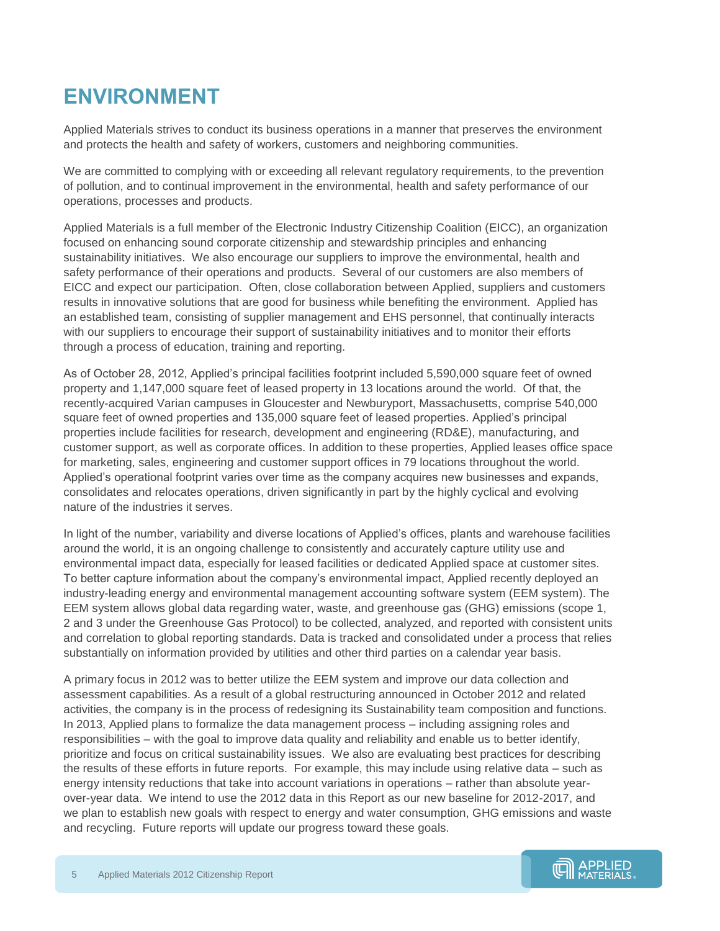## <span id="page-4-0"></span>**ENVIRONMENT**

Applied Materials strives to conduct its business operations in a manner that preserves the environment and protects the health and safety of workers, customers and neighboring communities.

We are committed to complying with or exceeding all relevant regulatory requirements, to the prevention of pollution, and to continual improvement in the environmental, health and safety performance of our operations, processes and products.

Applied Materials is a full member of the Electronic Industry Citizenship Coalition (EICC), an organization focused on enhancing sound corporate citizenship and stewardship principles and enhancing sustainability initiatives. We also encourage our suppliers to improve the environmental, health and safety performance of their operations and products. Several of our customers are also members of EICC and expect our participation. Often, close collaboration between Applied, suppliers and customers results in innovative solutions that are good for business while benefiting the environment. Applied has an established team, consisting of supplier management and EHS personnel, that continually interacts with our suppliers to encourage their support of sustainability initiatives and to monitor their efforts through a process of education, training and reporting.

As of October 28, 2012, Applied's principal facilities footprint included 5,590,000 square feet of owned property and 1,147,000 square feet of leased property in 13 locations around the world. Of that, the recently-acquired Varian campuses in Gloucester and Newburyport, Massachusetts, comprise 540,000 square feet of owned properties and 135,000 square feet of leased properties. Applied's principal properties include facilities for research, development and engineering (RD&E), manufacturing, and customer support, as well as corporate offices. In addition to these properties, Applied leases office space for marketing, sales, engineering and customer support offices in 79 locations throughout the world. Applied's operational footprint varies over time as the company acquires new businesses and expands, consolidates and relocates operations, driven significantly in part by the highly cyclical and evolving nature of the industries it serves.

In light of the number, variability and diverse locations of Applied's offices, plants and warehouse facilities around the world, it is an ongoing challenge to consistently and accurately capture utility use and environmental impact data, especially for leased facilities or dedicated Applied space at customer sites. To better capture information about the company's environmental impact, Applied recently deployed an industry-leading energy and environmental management accounting software system (EEM system). The EEM system allows global data regarding water, waste, and greenhouse gas (GHG) emissions (scope 1, 2 and 3 under the Greenhouse Gas Protocol) to be collected, analyzed, and reported with consistent units and correlation to global reporting standards. Data is tracked and consolidated under a process that relies substantially on information provided by utilities and other third parties on a calendar year basis.

A primary focus in 2012 was to better utilize the EEM system and improve our data collection and assessment capabilities. As a result of a global restructuring announced in October 2012 and related activities, the company is in the process of redesigning its Sustainability team composition and functions. In 2013, Applied plans to formalize the data management process – including assigning roles and responsibilities – with the goal to improve data quality and reliability and enable us to better identify, prioritize and focus on critical sustainability issues. We also are evaluating best practices for describing the results of these efforts in future reports. For example, this may include using relative data – such as energy intensity reductions that take into account variations in operations – rather than absolute yearover-year data. We intend to use the 2012 data in this Report as our new baseline for 2012-2017, and we plan to establish new goals with respect to energy and water consumption, GHG emissions and waste and recycling. Future reports will update our progress toward these goals.

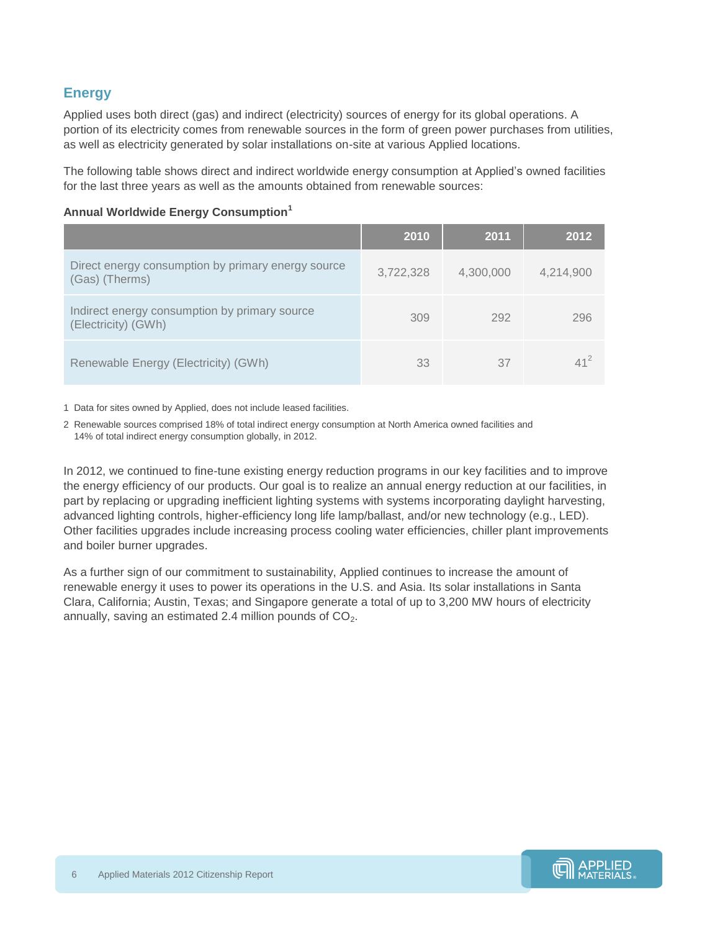## <span id="page-5-0"></span>**Energy**

Applied uses both direct (gas) and indirect (electricity) sources of energy for its global operations. A portion of its electricity comes from renewable sources in the form of green power purchases from utilities, as well as electricity generated by solar installations on-site at various Applied locations.

The following table shows direct and indirect worldwide energy consumption at Applied's owned facilities for the last three years as well as the amounts obtained from renewable sources:

|                                                                      | 2010      | 2011      | 2012      |
|----------------------------------------------------------------------|-----------|-----------|-----------|
| Direct energy consumption by primary energy source<br>(Gas) (Therms) | 3,722,328 | 4,300,000 | 4,214,900 |
| Indirect energy consumption by primary source<br>(Electricity) (GWh) | 309       | 292       | 296       |
| Renewable Energy (Electricity) (GWh)                                 | 33        | 37        | $41^2$    |

#### **Annual Worldwide Energy Consumption<sup>1</sup>**

1 Data for sites owned by Applied, does not include leased facilities.

2 Renewable sources comprised 18% of total indirect energy consumption at North America owned facilities and 14% of total indirect energy consumption globally, in 2012.

In 2012, we continued to fine-tune existing energy reduction programs in our key facilities and to improve the energy efficiency of our products. Our goal is to realize an annual energy reduction at our facilities, in part by replacing or upgrading inefficient lighting systems with systems incorporating daylight harvesting, advanced lighting controls, higher-efficiency long life lamp/ballast, and/or new technology (e.g., LED). Other facilities upgrades include increasing process cooling water efficiencies, chiller plant improvements and boiler burner upgrades.

As a further sign of our commitment to sustainability, Applied continues to increase the amount of renewable energy it uses to power its operations in the U.S. and Asia. Its solar installations in Santa Clara, California; Austin, Texas; and Singapore generate a total of up to 3,200 MW hours of electricity annually, saving an estimated 2.4 million pounds of  $CO<sub>2</sub>$ .

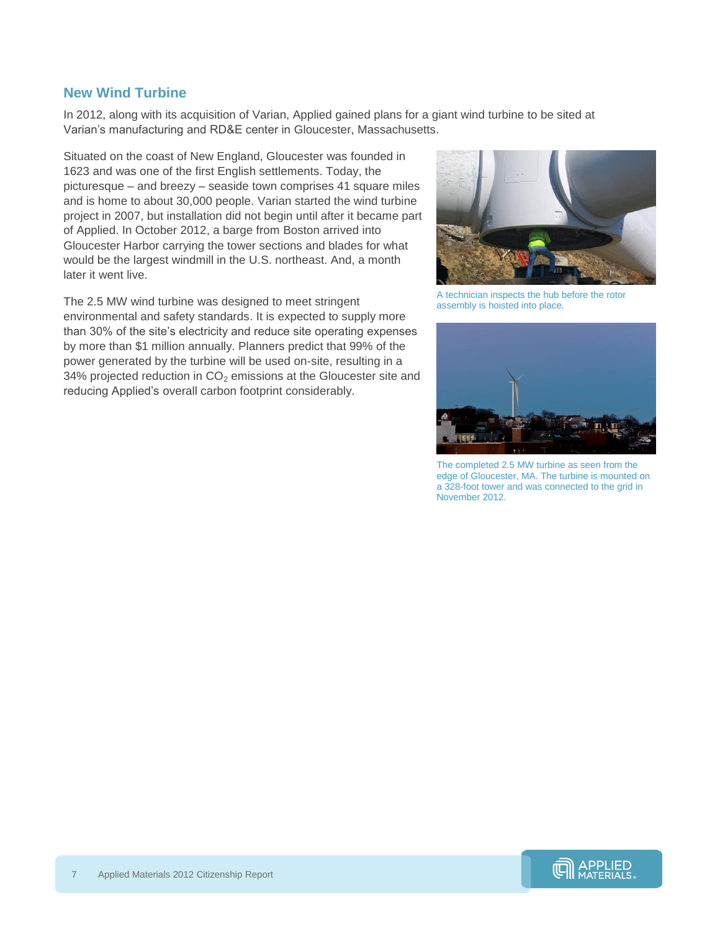#### <span id="page-6-0"></span>**New Wind Turbine**

In 2012, along with its acquisition of Varian, Applied gained plans for a giant wind turbine to be sited at Varian's manufacturing and RD&E center in Gloucester, Massachusetts.

Situated on the coast of New England, Gloucester was founded in 1623 and was one of the first English settlements. Today, the picturesque – and breezy – seaside town comprises 41 square miles and is home to about 30,000 people. Varian started the wind turbine project in 2007, but installation did not begin until after it became part of Applied. In October 2012, a barge from Boston arrived into Gloucester Harbor carrying the tower sections and blades for what would be the largest windmill in the U.S. northeast. And, a month later it went live.

The 2.5 MW wind turbine was designed to meet stringent environmental and safety standards. It is expected to supply more than 30% of the site's electricity and reduce site operating expenses by more than \$1 million annually. Planners predict that 99% of the power generated by the turbine will be used on-site, resulting in a 34% projected reduction in  $CO<sub>2</sub>$  emissions at the Gloucester site and reducing Applied's overall carbon footprint considerably.



A technician inspects the hub before the rotor assembly is hoisted into place.



The completed 2.5 MW turbine as seen from the edge of Gloucester, MA. The turbine is mounted on a 328-foot tower and was connected to the grid in November 2012.

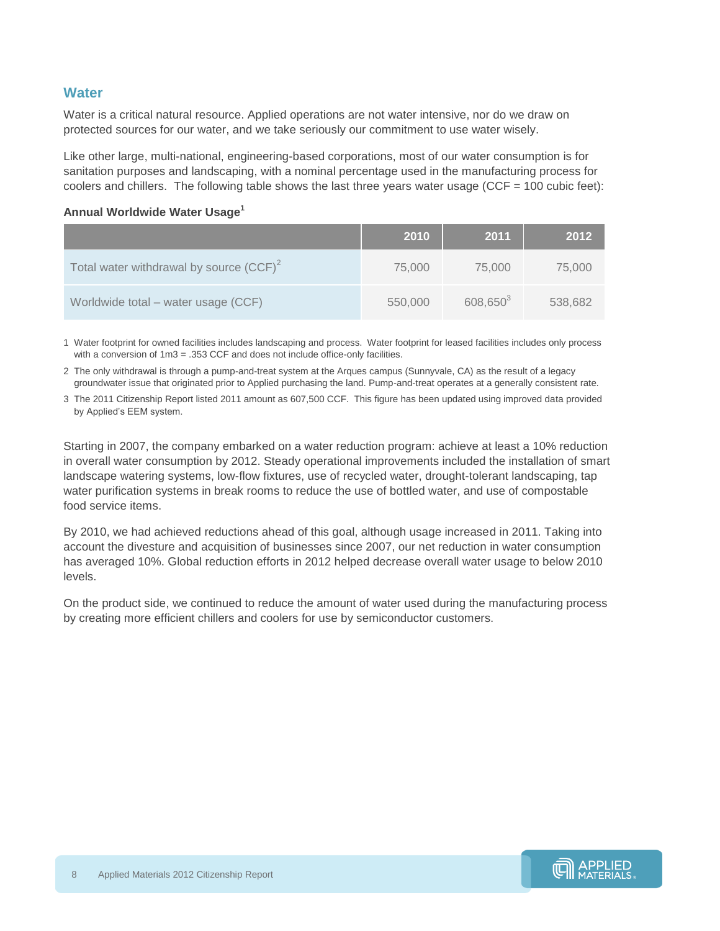### <span id="page-7-0"></span>**Water**

Water is a critical natural resource. Applied operations are not water intensive, nor do we draw on protected sources for our water, and we take seriously our commitment to use water wisely.

Like other large, multi-national, engineering-based corporations, most of our water consumption is for sanitation purposes and landscaping, with a nominal percentage used in the manufacturing process for coolers and chillers. The following table shows the last three years water usage (CCF =  $100$  cubic feet):

#### **Annual Worldwide Water Usage<sup>1</sup>**

|                                            | 2010    | 2011                 | 2012    |
|--------------------------------------------|---------|----------------------|---------|
| Total water withdrawal by source $(CCF)^2$ | 75,000  | 75,000               | 75,000  |
| Worldwide total - water usage (CCF)        | 550,000 | 608,650 <sup>3</sup> | 538,682 |

1 Water footprint for owned facilities includes landscaping and process. Water footprint for leased facilities includes only process with a conversion of  $1m3 = .353$  CCF and does not include office-only facilities.

2 The only withdrawal is through a pump-and-treat system at the Arques campus (Sunnyvale, CA) as the result of a legacy groundwater issue that originated prior to Applied purchasing the land. Pump-and-treat operates at a generally consistent rate.

3 The 2011 Citizenship Report listed 2011 amount as 607,500 CCF. This figure has been updated using improved data provided by Applied's EEM system.

Starting in 2007, the company embarked on a water reduction program: achieve at least a 10% reduction in overall water consumption by 2012. Steady operational improvements included the installation of smart landscape watering systems, low-flow fixtures, use of recycled water, drought-tolerant landscaping, tap water purification systems in break rooms to reduce the use of bottled water, and use of compostable food service items.

By 2010, we had achieved reductions ahead of this goal, although usage increased in 2011. Taking into account the divesture and acquisition of businesses since 2007, our net reduction in water consumption has averaged 10%. Global reduction efforts in 2012 helped decrease overall water usage to below 2010 levels.

On the product side, we continued to reduce the amount of water used during the manufacturing process by creating more efficient chillers and coolers for use by semiconductor customers.

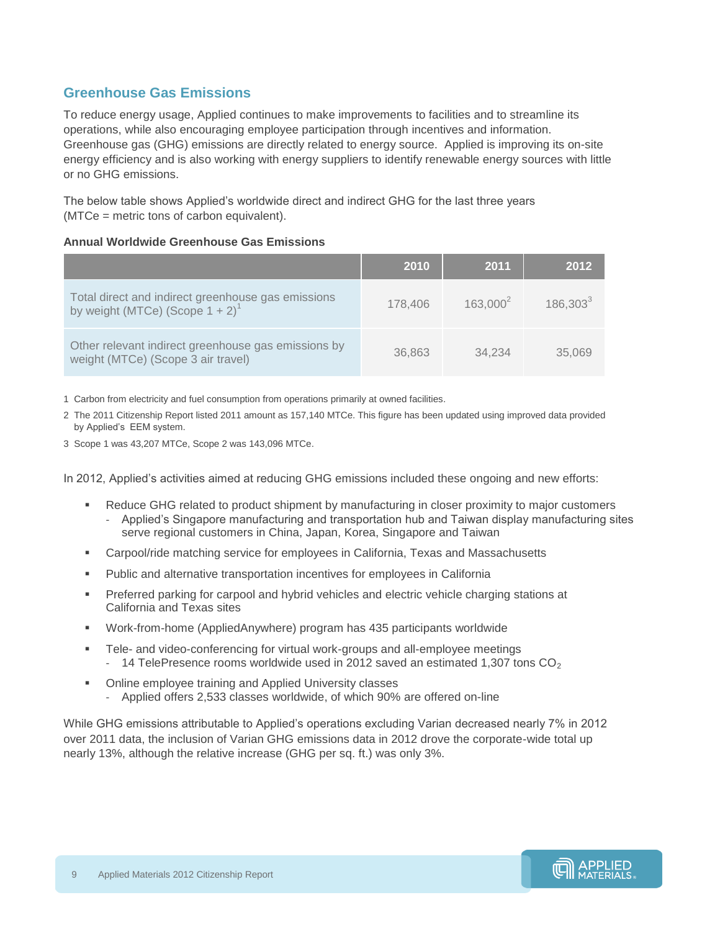### <span id="page-8-0"></span>**Greenhouse Gas Emissions**

To reduce energy usage, Applied continues to make improvements to facilities and to streamline its operations, while also encouraging employee participation through incentives and information. Greenhouse gas (GHG) emissions are directly related to energy source. Applied is improving its on-site energy efficiency and is also working with energy suppliers to identify renewable energy sources with little or no GHG emissions.

The below table shows Applied's worldwide direct and indirect GHG for the last three years (MTCe = metric tons of carbon equivalent).

#### **Annual Worldwide Greenhouse Gas Emissions**

|                                                                                                      | <b>2010</b> | 2011          | 2012        |
|------------------------------------------------------------------------------------------------------|-------------|---------------|-------------|
| Total direct and indirect greenhouse gas emissions<br>by weight (MTCe) (Scope $1 + 2$ ) <sup>1</sup> | 178,406     | $163.000^{2}$ | $186,303^3$ |
| Other relevant indirect greenhouse gas emissions by<br>weight (MTCe) (Scope 3 air travel)            | 36,863      | 34.234        | 35,069      |

1 Carbon from electricity and fuel consumption from operations primarily at owned facilities.

2 The 2011 Citizenship Report listed 2011 amount as 157,140 MTCe. This figure has been updated using improved data provided by Applied's EEM system.

3 Scope 1 was 43,207 MTCe, Scope 2 was 143,096 MTCe.

In 2012, Applied's activities aimed at reducing GHG emissions included these ongoing and new efforts:

- Reduce GHG related to product shipment by manufacturing in closer proximity to major customers - Applied's Singapore manufacturing and transportation hub and Taiwan display manufacturing sites serve regional customers in China, Japan, Korea, Singapore and Taiwan
- Carpool/ride matching service for employees in California, Texas and Massachusetts
- Public and alternative transportation incentives for employees in California
- **Preferred parking for carpool and hybrid vehicles and electric vehicle charging stations at Profermity** California and Texas sites
- Work-from-home (AppliedAnywhere) program has 435 participants worldwide
- Tele- and video-conferencing for virtual work-groups and all-employee meetings - 14 TelePresence rooms worldwide used in 2012 saved an estimated 1,307 tons  $CO<sub>2</sub>$
- Online employee training and Applied University classes - Applied offers 2,533 classes worldwide, of which 90% are offered on-line

While GHG emissions attributable to Applied's operations excluding Varian decreased nearly 7% in 2012 over 2011 data, the inclusion of Varian GHG emissions data in 2012 drove the corporate-wide total up nearly 13%, although the relative increase (GHG per sq. ft.) was only 3%.

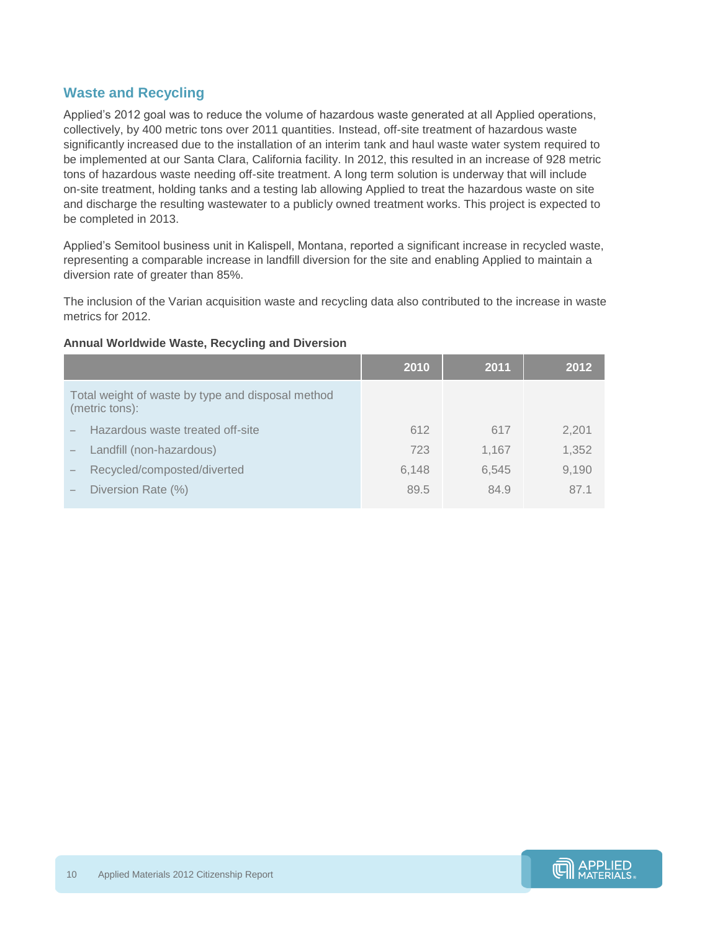### <span id="page-9-0"></span>**Waste and Recycling**

Applied's 2012 goal was to reduce the volume of hazardous waste generated at all Applied operations, collectively, by 400 metric tons over 2011 quantities. Instead, off-site treatment of hazardous waste significantly increased due to the installation of an interim tank and haul waste water system required to be implemented at our Santa Clara, California facility. In 2012, this resulted in an increase of 928 metric tons of hazardous waste needing off-site treatment. A long term solution is underway that will include on-site treatment, holding tanks and a testing lab allowing Applied to treat the hazardous waste on site and discharge the resulting wastewater to a publicly owned treatment works. This project is expected to be completed in 2013.

Applied's Semitool business unit in Kalispell, Montana, reported a significant increase in recycled waste, representing a comparable increase in landfill diversion for the site and enabling Applied to maintain a diversion rate of greater than 85%.

The inclusion of the Varian acquisition waste and recycling data also contributed to the increase in waste metrics for 2012.

|                                                                     | 2010  | 2011  | 2012  |
|---------------------------------------------------------------------|-------|-------|-------|
| Total weight of waste by type and disposal method<br>(metric tons): |       |       |       |
| Hazardous waste treated off-site                                    | 612   | 617   | 2,201 |
| Landfill (non-hazardous)                                            | 723   | 1.167 | 1,352 |
| Recycled/composted/diverted                                         | 6,148 | 6.545 | 9,190 |
| Diversion Rate (%)                                                  | 89.5  | 84.9  | 87.1  |
|                                                                     |       |       |       |

#### **Annual Worldwide Waste, Recycling and Diversion**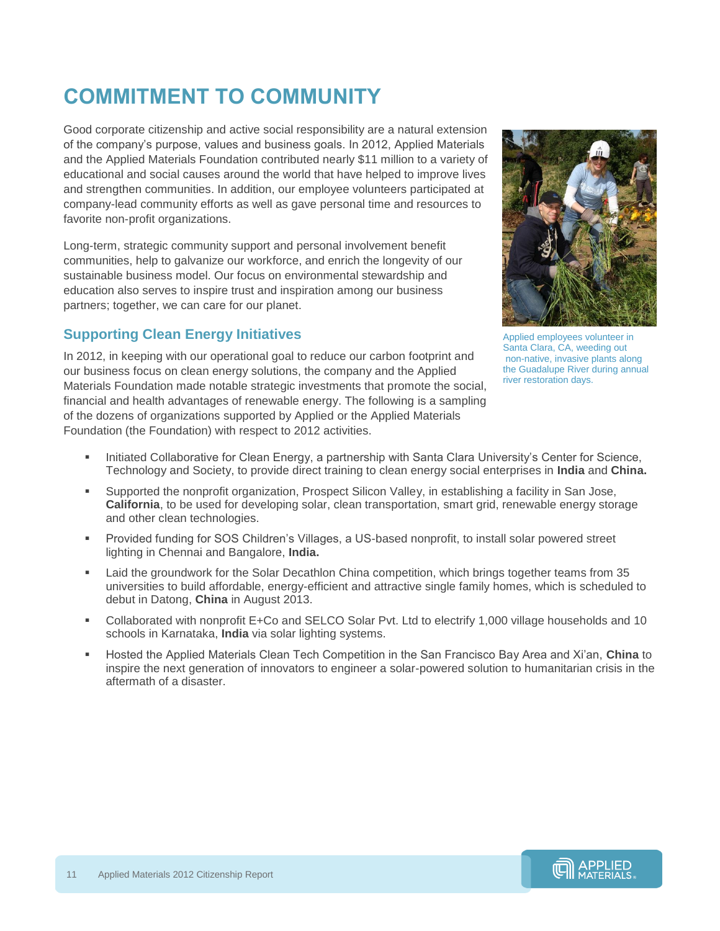## <span id="page-10-0"></span>**COMMITMENT TO COMMUNITY**

Good corporate citizenship and active social responsibility are a natural extension of the company's purpose, values and business goals. In 2012, Applied Materials and the Applied Materials Foundation contributed nearly \$11 million to a variety of educational and social causes around the world that have helped to improve lives and strengthen communities. In addition, our employee volunteers participated at company-lead community efforts as well as gave personal time and resources to favorite non-profit organizations.

Long-term, strategic community support and personal involvement benefit communities, help to galvanize our workforce, and enrich the longevity of our sustainable business model. Our focus on environmental stewardship and education also serves to inspire trust and inspiration among our business partners; together, we can care for our planet.

## <span id="page-10-1"></span>**Supporting Clean Energy Initiatives**

In 2012, in keeping with our operational goal to reduce our carbon footprint and our business focus on clean energy solutions, the company and the Applied Materials Foundation made notable strategic investments that promote the social, financial and health advantages of renewable energy. The following is a sampling of the dozens of organizations supported by Applied or the Applied Materials Foundation (the Foundation) with respect to 2012 activities.



Applied employees volunteer in Santa Clara, CA, weeding out non-native, invasive plants along the Guadalupe River during annual river restoration days.

- Initiated Collaborative for Clean Energy, a partnership with Santa Clara University's Center for Science, Technology and Society, to provide direct training to clean energy social enterprises in **India** and **China.**
- Supported the nonprofit organization, Prospect Silicon Valley, in establishing a facility in San Jose, **California**, to be used for developing solar, clean transportation, smart grid, renewable energy storage and other clean technologies.
- Provided funding for SOS Children's Villages, a US-based nonprofit, to install solar powered street lighting in Chennai and Bangalore, **India.**
- Laid the groundwork for the Solar Decathlon China competition, which brings together teams from 35 universities to build affordable, energy-efficient and attractive single family homes, which is scheduled to debut in Datong, **China** in August 2013.
- Collaborated with nonprofit E+Co and SELCO Solar Pvt. Ltd to electrify 1,000 village households and 10 schools in Karnataka, **India** via solar lighting systems.
- Hosted the Applied Materials Clean Tech Competition in the San Francisco Bay Area and Xi'an, **China** to inspire the next generation of innovators to engineer a solar-powered solution to humanitarian crisis in the aftermath of a disaster.



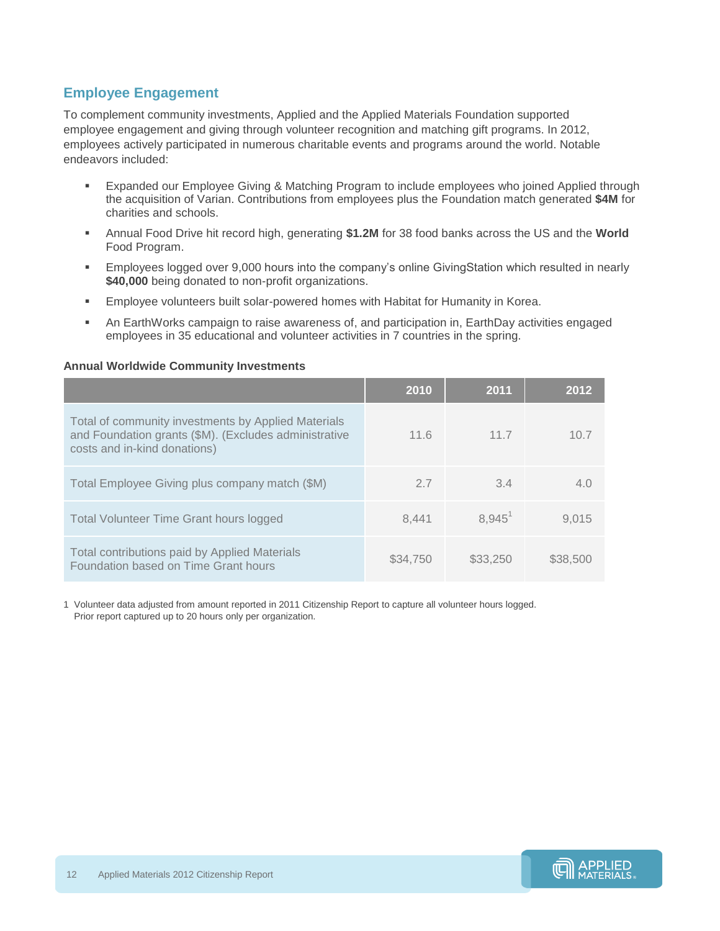### <span id="page-11-0"></span>**Employee Engagement**

To complement community investments, Applied and the Applied Materials Foundation supported employee engagement and giving through volunteer recognition and matching gift programs. In 2012, employees actively participated in numerous charitable events and programs around the world. Notable endeavors included:

- Expanded our Employee Giving & Matching Program to include employees who joined Applied through the acquisition of Varian. Contributions from employees plus the Foundation match generated **\$4M** for charities and schools.
- Annual Food Drive hit record high, generating **\$1.2M** for 38 food banks across the US and the **World** Food Program.
- Employees logged over 9,000 hours into the company's online GivingStation which resulted in nearly **\$40,000** being donated to non-profit organizations.
- Employee volunteers built solar-powered homes with Habitat for Humanity in Korea.
- An EarthWorks campaign to raise awareness of, and participation in, EarthDay activities engaged employees in 35 educational and volunteer activities in 7 countries in the spring.

#### **Annual Worldwide Community Investments**

|                                                                                                                                              | 2010     | 2011        | 2012     |
|----------------------------------------------------------------------------------------------------------------------------------------------|----------|-------------|----------|
| Total of community investments by Applied Materials<br>and Foundation grants (\$M). (Excludes administrative<br>costs and in-kind donations) | 11.6     | 11.7        | 10.7     |
| Total Employee Giving plus company match (\$M)                                                                                               | 2.7      | 3.4         | 4.0      |
| <b>Total Volunteer Time Grant hours logged</b>                                                                                               | 8.441    | $8.945^{1}$ | 9.015    |
| Total contributions paid by Applied Materials<br>Foundation based on Time Grant hours                                                        | \$34.750 | \$33,250    | \$38,500 |

1 Volunteer data adjusted from amount reported in 2011 Citizenship Report to capture all volunteer hours logged. Prior report captured up to 20 hours only per organization.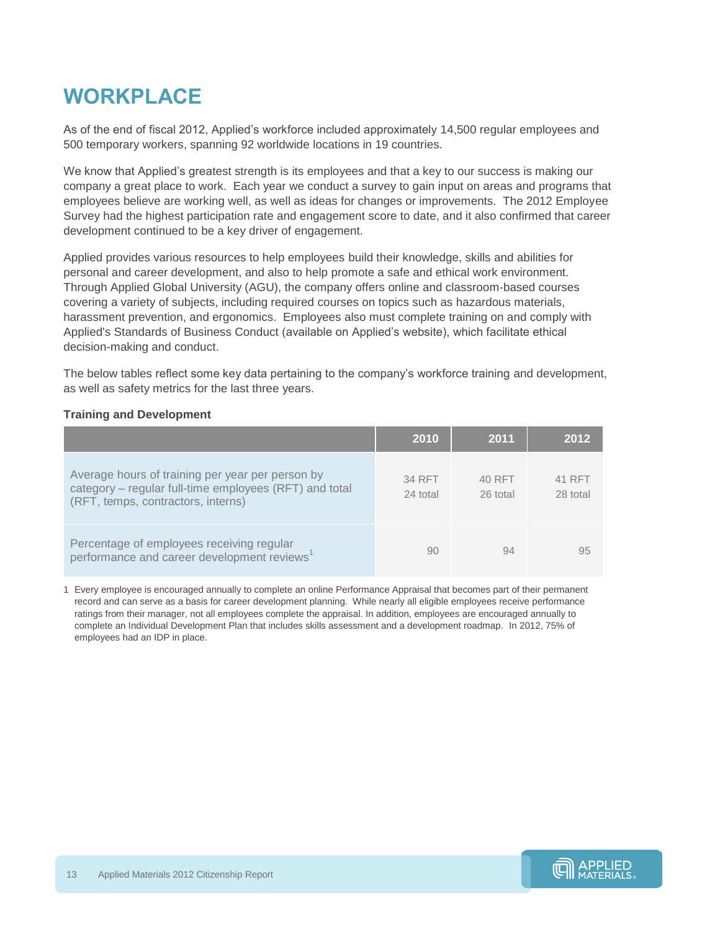## <span id="page-12-0"></span>**WORKPLACE**

As of the end of fiscal 2012, Applied's workforce included approximately 14,500 regular employees and 500 temporary workers, spanning 92 worldwide locations in 19 countries.

We know that Applied's greatest strength is its employees and that a key to our success is making our company a great place to work. Each year we conduct a survey to gain input on areas and programs that employees believe are working well, as well as ideas for changes or improvements. The 2012 Employee Survey had the highest participation rate and engagement score to date, and it also confirmed that career development continued to be a key driver of engagement.

Applied provides various resources to help employees build their knowledge, skills and abilities for personal and career development, and also to help promote a safe and ethical work environment. Through Applied Global University (AGU), the company offers online and classroom-based courses covering a variety of subjects, including required courses on topics such as hazardous materials, harassment prevention, and ergonomics. Employees also must complete training on and comply with Applied's Standards of Business Conduct (available on Applied's website), which facilitate ethical decision-making and conduct.

The below tables reflect some key data pertaining to the company's workforce training and development, as well as safety metrics for the last three years.

#### **Training and Development**

|                                                                                                                                                  | 2010               | 2011               | 2012               |
|--------------------------------------------------------------------------------------------------------------------------------------------------|--------------------|--------------------|--------------------|
| Average hours of training per year per person by<br>category - regular full-time employees (RFT) and total<br>(RFT, temps, contractors, interns) | 34 RFT<br>24 total | 40 RFT<br>26 total | 41 RFT<br>28 total |
| Percentage of employees receiving regular<br>performance and career development reviews <sup>1</sup>                                             | 90                 | 94                 | 95                 |

1 Every employee is encouraged annually to complete an online Performance Appraisal that becomes part of their permanent record and can serve as a basis for career development planning. While nearly all eligible employees receive performance ratings from their manager, not all employees complete the appraisal. In addition, employees are encouraged annually to complete an Individual Development Plan that includes skills assessment and a development roadmap. In 2012, 75% of employees had an IDP in place.

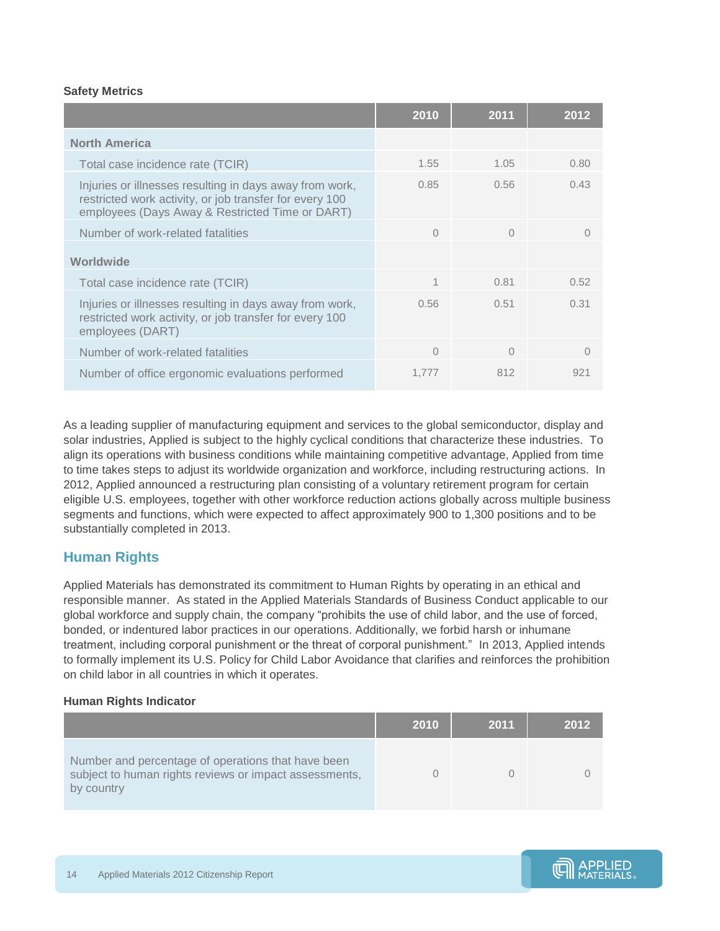#### **Safety Metrics**

|                                                                                                                                                                       | 2010     | 2011     | 2012      |
|-----------------------------------------------------------------------------------------------------------------------------------------------------------------------|----------|----------|-----------|
| <b>North America</b>                                                                                                                                                  |          |          |           |
| Total case incidence rate (TCIR)                                                                                                                                      | 1.55     | 1.05     | 0.80      |
| Injuries or illnesses resulting in days away from work,<br>restricted work activity, or job transfer for every 100<br>employees (Days Away & Restricted Time or DART) | 0.85     | 0.56     | 0.43      |
| Number of work-related fatalities                                                                                                                                     | $\Omega$ | $\Omega$ | $\bigcap$ |
| Worldwide                                                                                                                                                             |          |          |           |
| Total case incidence rate (TCIR)                                                                                                                                      | 1        | 0.81     | 0.52      |
| Injuries or illnesses resulting in days away from work,<br>restricted work activity, or job transfer for every 100<br>employees (DART)                                | 0.56     | 0.51     | 0.31      |
| Number of work-related fatalities                                                                                                                                     | $\Omega$ | $\Omega$ |           |
| Number of office ergonomic evaluations performed                                                                                                                      | 1.777    | 812      | 921       |

As a leading supplier of manufacturing equipment and services to the global semiconductor, display and solar industries, Applied is subject to the highly cyclical conditions that characterize these industries. To align its operations with business conditions while maintaining competitive advantage, Applied from time to time takes steps to adjust its worldwide organization and workforce, including restructuring actions. In 2012, Applied announced a restructuring plan consisting of a voluntary retirement program for certain eligible U.S. employees, together with other workforce reduction actions globally across multiple business segments and functions, which were expected to affect approximately 900 to 1,300 positions and to be substantially completed in 2013.

### <span id="page-13-0"></span>**Human Rights**

Applied Materials has demonstrated its commitment to Human Rights by operating in an ethical and responsible manner. As stated in the Applied Materials Standards of Business Conduct applicable to our global workforce and supply chain, the company "prohibits the use of child labor, and the use of forced, bonded, or indentured labor practices in our operations. Additionally, we forbid harsh or inhumane treatment, including corporal punishment or the threat of corporal punishment." In 2013, Applied intends to formally implement its U.S. Policy for Child Labor Avoidance that clarifies and reinforces the prohibition on child labor in all countries in which it operates.

#### **Human Rights Indicator**

|                                                                                                                            | 2010 | 2011 | 2012 |
|----------------------------------------------------------------------------------------------------------------------------|------|------|------|
| Number and percentage of operations that have been<br>subject to human rights reviews or impact assessments,<br>by country |      |      |      |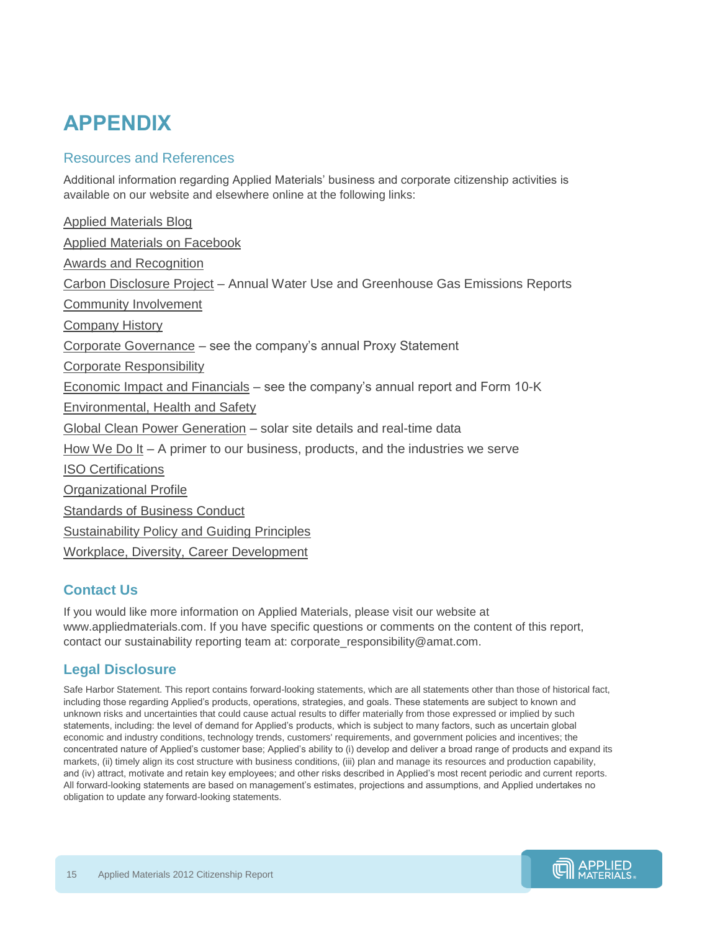## **APPENDIX**

### Resources and References

Additional information regarding Applied Materials' business and corporate citizenship activities is available on our website and elsewhere online at the following links:

[Applied Materials Blog](http://blog.appliedmaterials.com/) [Applied Materials on Facebook](https://www.facebook.com/AppliedMaterialsInc) [Awards and Recognition](http://www.appliedmaterials.com/company/about/awards) [Carbon Disclosure Project](https://www.cdproject.net/) – Annual Water Use and Greenhouse Gas Emissions Reports [Community Involvement](http://www.appliedmaterials.com/company/corporate-responsibility) [Company History](http://www.appliedmaterials.com/company/about/history) [Corporate Governance](http://www.appliedmaterials.com/company/investor-relations/governance) – see the company's annual Proxy Statement [Corporate Responsibility](http://www.appliedmaterials.com/company/corporate-responsibility) [Economic Impact and Financials](http://www.appliedmaterials.com/company/investor-relations/financials) – see the company's annual report and Form 10-K [Environmental, Health and Safety](http://www.appliedmaterials.com/company/corporate-responsibility/sustainability) [Global Clean Power Generation](http://www.appliedmaterials.com/company/corporate-responsibility/sustainability) – solar site details and real-time data [How We Do It](http://www.appliedmaterials.com/company/about/how-we-do-it) – A primer to our business, products, and the industries we serve [ISO Certifications](http://www.appliedmaterials.com/company/corporate-responsibility/sustainability) [Organizational Profile](http://www.appliedmaterials.com/company/about) [Standards of Business Conduct](http://www.appliedmaterials.com/company/investor-relations/governance) [Sustainability Policy and Guiding Principles](http://www.appliedmaterials.com/company/corporate-responsibility/sustainability) [Workplace, Diversity, Career Development](http://www.appliedmaterials.com/company/corporate-responsibility/workplace)

## **Contact Us**

If you would like more information on Applied Materials, please visit our website at www.appliedmaterials.com. If you have specific questions or comments on the content of this report, contact our sustainability reporting team at: corporate\_responsibility@amat.com.

## **Legal Disclosure**

Safe Harbor Statement. This report contains forward-looking statements, which are all statements other than those of historical fact, including those regarding Applied's products, operations, strategies, and goals. These statements are subject to known and unknown risks and uncertainties that could cause actual results to differ materially from those expressed or implied by such statements, including: the level of demand for Applied's products, which is subject to many factors, such as uncertain global economic and industry conditions, technology trends, customers' requirements, and government policies and incentives; the concentrated nature of Applied's customer base; Applied's ability to (i) develop and deliver a broad range of products and expand its markets, (ii) timely align its cost structure with business conditions, (iii) plan and manage its resources and production capability, and (iv) attract, motivate and retain key employees; and other risks described in Applied's most recent periodic and current reports. All forward-looking statements are based on management's estimates, projections and assumptions, and Applied undertakes no obligation to update any forward-looking statements.